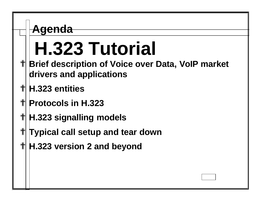|   | denda                                                                                           |
|---|-------------------------------------------------------------------------------------------------|
|   | H.323 Tutorial<br>Brief description of Voice over Data, VolP market<br>drivers and applications |
|   | H.323 entities                                                                                  |
| ╬ | <b>Protocols in H.323</b>                                                                       |
| 憪 | H.323 signalling models                                                                         |
|   | <b>Typical call setup and tear down</b>                                                         |
|   | H.323 version 2 and beyond                                                                      |
|   |                                                                                                 |
|   |                                                                                                 |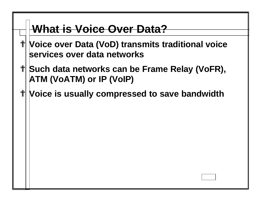### **What is Voice Over Data?**

- ? **Voice over Data (VoD) transmits traditional voice services over data networks**
- *I* **Such data networks can be Frame Relay (VoFR), ATM (VoATM) or IP (VoIP)**
- ? **Voice is usually compressed to save bandwidth**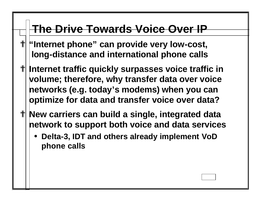### **The Drive Towards Voice Over IP**

- ? **"Internet phone" can provide very low-cost, long-distance and international phone calls**
- *I* **Internet traffic quickly surpasses voice traffic in volume; therefore, why transfer data over voice networks (e.g. today's modems) when you can optimize for data and transfer voice over data?**
- ? **New carriers can build a single, integrated data network to support both voice and data services**
	- **Delta-3, IDT and others already implement VoD phone calls**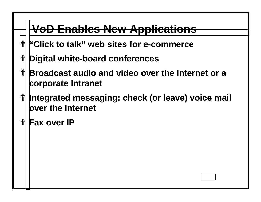## **VoD Enables New Applications**

- ? **"Click to talk" web sites for e-commerce**
- ? **Digital white-board conferences**
- *H* Broadcast audio and video over the Internet or a **corporate Intranet**
- ? **Integrated messaging: check (or leave) voice mail over the Internet**
- **The Fax over IP**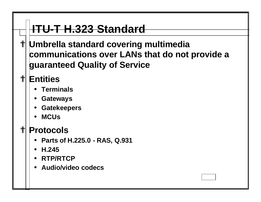## **ITU-T H.323 Standard**

- ? **Umbrella standard covering multimedia communications over LANs that do not provide a guaranteed Quality of Service**
- **t** Entities
	- **Terminals**
	- **Gateways**
	- **Gatekeepers**
	- **MCUs**

#### ? **Protocols**

- **Parts of H.225.0 - RAS, Q.931**
- **H.245**
- **RTP/RTCP**
- **Audio/video codecs**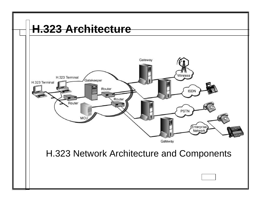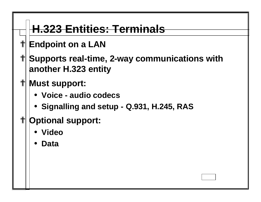## **H.323 Entities: Terminals**

- **T** Endpoint on a LAN
- *T* **Supports real-time, 2-way communications with another H.323 entity**
- ? **Must support:**
	- **Voice - audio codecs**
	- **Signalling and setup - Q.931, H.245, RAS**
- ? **Optional support:**
	- **Video**
	- **Data**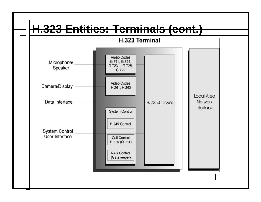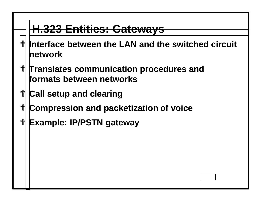## **H.323 Entities: Gateways**

- **The Interface between the LAN and the switched circuit network**
- ? **Translates communication procedures and formats between networks**
- ? **Call setup and clearing**
- ? **Compression and packetization of voice**
- ? **Example: IP/PSTN gateway**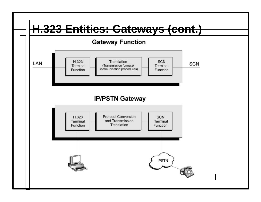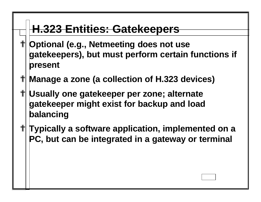### **H.323 Entities: Gatekeepers**

- ? **Optional (e.g., Netmeeting does not use gatekeepers), but must perform certain functions if present**
- ? **Manage a zone (a collection of H.323 devices)**
- ? **Usually one gatekeeper per zone; alternate gatekeeper might exist for backup and load balancing**
- ? **Typically a software application, implemented on a PC, but can be integrated in a gateway or terminal**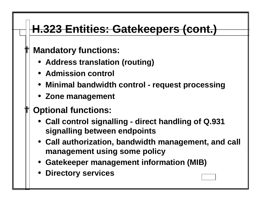### **H.323 Entities: Gatekeepers (cont.)**

#### **Mandatory functions:**

- **Address translation (routing)**
- **Admission control**
- **Minimal bandwidth control - request processing**
- **Zone management**

#### ? **Optional functions:**

- **Call control signalling - direct handling of Q.931 signalling between endpoints**
- **Call authorization, bandwidth management, and call management using some policy**
- **Gatekeeper management information (MIB)**
- **Directory services**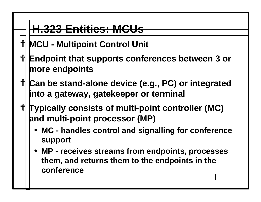## **H.323 Entities: MCUs**

- ? **MCU - Multipoint Control Unit**
- ? **Endpoint that supports conferences between 3 or more endpoints**
- ? **Can be stand-alone device (e.g., PC) or integrated into a gateway, gatekeeper or terminal**
- ? **Typically consists of multi-point controller (MC) and multi-point processor (MP)**
	- **MC - handles control and signalling for conference support**
	- **MP - receives streams from endpoints, processes them, and returns them to the endpoints in the conference**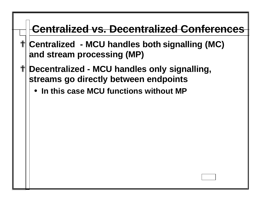### **Centralized vs. Decentralized Conferences**

- ? **Centralized - MCU handles both signalling (MC) and stream processing (MP)**
- ? **Decentralized - MCU handles only signalling, streams go directly between endpoints**
	- **In this case MCU functions without MP**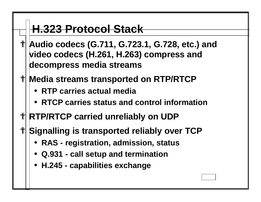### **H.323 Protocol Stack**

- ? **Audio codecs (G.711, G.723.1, G.728, etc.) and video codecs (H.261, H.263) compress and decompress media streams**
- ? **Media streams transported on RTP/RTCP**
	- **RTP carries actual media**
	- **RTCP carries status and control information**
- ? **RTP/RTCP carried unreliably on UDP**
- *I* **Signalling is transported reliably over TCP** 
	- **RAS - registration, admission, status**
	- **Q.931 - call setup and termination**
	- **H.245 - capabilities exchange**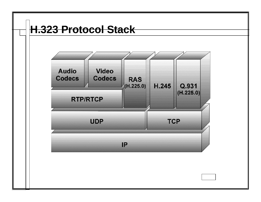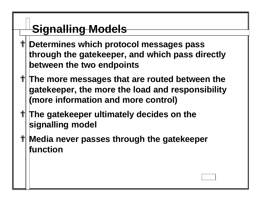# **Signalling Models**

- ? **Determines which protocol messages pass through the gatekeeper, and which pass directly between the two endpoints**
- **The more messages that are routed between the gatekeeper, the more the load and responsibility (more information and more control)**
- ? **The gatekeeper ultimately decides on the signalling model**
- ? **Media never passes through the gatekeeper function**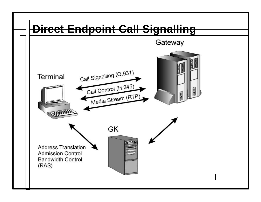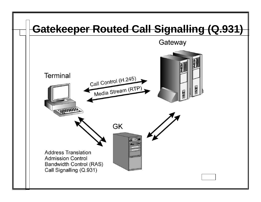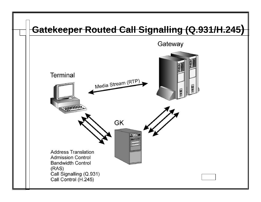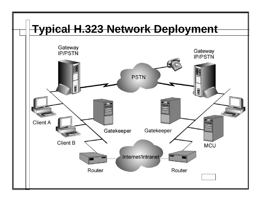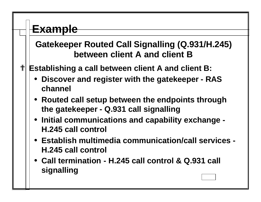## **Example**

#### **Gatekeeper Routed Call Signalling (Q.931/H.245) between client A and client B**

? **Establishing a call between client A and client B:**

- **Discover and register with the gatekeeper - RAS channel**
- **Routed call setup between the endpoints through the gatekeeper - Q.931 call signalling**
- **Initial communications and capability exchange - H.245 call control**
- **Establish multimedia communication/call services - H.245 call control**
- **Call termination - H.245 call control & Q.931 call signalling**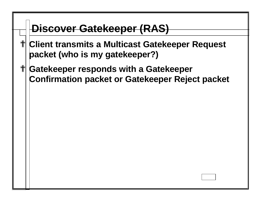### **Discover Gatekeeper (RAS)**

- ? **Client transmits a Multicast Gatekeeper Request packet (who is my gatekeeper?)**
- ? **Gatekeeper responds with a Gatekeeper Confirmation packet or Gatekeeper Reject packet**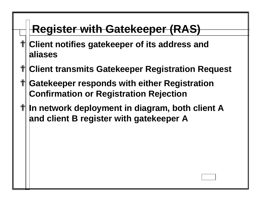# **Register with Gatekeeper (RAS)**

- **T** Client notifies gatekeeper of its address and **aliases**
- ? **Client transmits Gatekeeper Registration Request**
- *T* **Gatekeeper responds with either Registration Confirmation or Registration Rejection**
- **T** In network deployment in diagram, both client A **and client B register with gatekeeper A**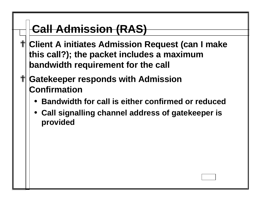# **Call Admission (RAS)**

- ? **Client A initiates Admission Request (can I make this call?); the packet includes a maximum bandwidth requirement for the call**
- ? **Gatekeeper responds with Admission Confirmation**
	- **Bandwidth for call is either confirmed or reduced**
	- **Call signalling channel address of gatekeeper is provided**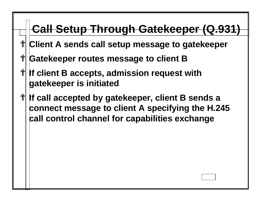# **Call Setup Through Gatekeeper (Q.931)**

- ? **Client A sends call setup message to gatekeeper**
- ? **Gatekeeper routes message to client B**
- *I* **If client B accepts, admission request with gatekeeper is initiated**
- *I* **If call accepted by gatekeeper, client B sends a connect message to client A specifying the H.245 call control channel for capabilities exchange**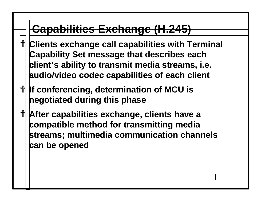## **Capabilities Exchange (H.245)**

- ? **Clients exchange call capabilities with Terminal Capability Set message that describes each client's ability to transmit media streams, i.e. audio/video codec capabilities of each client**
- *I* **If conferencing, determination of MCU is negotiated during this phase**
- ? **After capabilities exchange, clients have a compatible method for transmitting media streams; multimedia communication channels can be opened**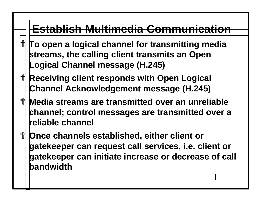### **Establish Multimedia Communication**

- ? **To open a logical channel for transmitting media streams, the calling client transmits an Open Logical Channel message (H.245)**
- *T* **Receiving client responds with Open Logical Channel Acknowledgement message (H.245)**
- ? **Media streams are transmitted over an unreliable channel; control messages are transmitted over a reliable channel**
- ? **Once channels established, either client or gatekeeper can request call services, i.e. client or gatekeeper can initiate increase or decrease of call bandwidth**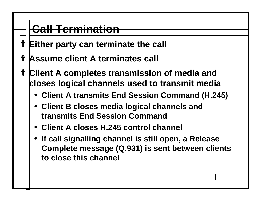# **Call Termination**

- ? **Either party can terminate the call**
- **TH** Assume client A terminates call
- ? **Client A completes transmission of media and closes logical channels used to transmit media**
	- **Client A transmits End Session Command (H.245)**
	- **Client B closes media logical channels and transmits End Session Command**
	- **Client A closes H.245 control channel**
	- **If call signalling channel is still open, a Release Complete message (Q.931) is sent between clients to close this channel**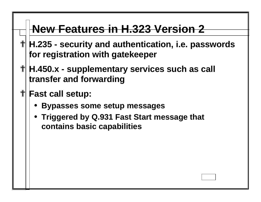### **New Features in H.323 Version 2**

- ? **H.235 - security and authentication, i.e. passwords for registration with gatekeeper**
- ? **H.450.x - supplementary services such as call transfer and forwarding**
- ? **Fast call setup:**
	- **Bypasses some setup messages**
	- **Triggered by Q.931 Fast Start message that contains basic capabilities**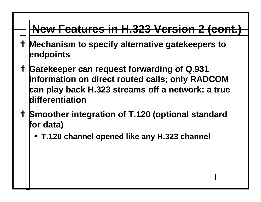## **New Features in H.323 Version 2 (cont.)**

- **T** Mechanism to specify alternative gatekeepers to **endpoints**
- *T* **Gatekeeper can request forwarding of Q.931 information on direct routed calls; only RADCOM can play back H.323 streams off a network: a true differentiation**
- *I* **Smoother integration of T.120 (optional standard \, for data)**
	- **T.120 channel opened like any H.323 channel**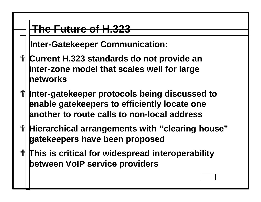### **The Future of H.323**

**Inter-Gatekeeper Communication:**

- ? **Current H.323 standards do not provide an inter-zone model that scales well for large networks**
- ? **Inter-gatekeeper protocols being discussed to enable gatekeepers to efficiently locate one another to route calls to non-local address**
- ? **Hierarchical arrangements with "clearing house" gatekeepers have been proposed**
- **This is critical for widespread interoperability between VoIP service providers**